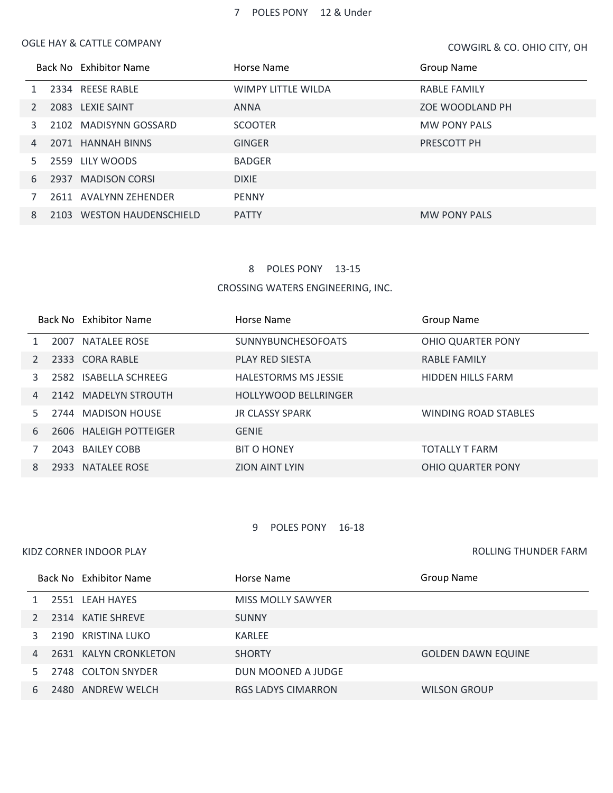#### OGLE HAY & CATTLE COMPANY

COWGIRL & CO.UOHIO CITY, OH

|    |      | Back No Exhibitor Name      | Horse Name                | <b>Group Name</b>   |
|----|------|-----------------------------|---------------------------|---------------------|
|    |      | 2334 REESE RABLE            | <b>WIMPY LITTLE WILDA</b> | <b>RABLE FAMILY</b> |
|    |      | 2083 LEXIE SAINT            | <b>ANNA</b>               | ZOE WOODLAND PH     |
| 3  |      | 2102 MADISYNN GOSSARD       | <b>SCOOTER</b>            | <b>MW PONY PALS</b> |
| 4  |      | 2071 HANNAH BINNS           | <b>GINGER</b>             | PRESCOTT PH         |
| 5. | 2559 | LILY WOODS                  | <b>BADGER</b>             |                     |
| 6  | 2937 | <b>MADISON CORSI</b>        | <b>DIXIE</b>              |                     |
|    |      | 2611 AVALYNN ZEHENDER       | <b>PENNY</b>              |                     |
| 8  | 2103 | <b>WESTON HAUDENSCHIELD</b> | <b>PATTY</b>              | <b>MW PONY PALS</b> |

#### POLES PONY 13-15

CROSSING WATERS ENGINEERING, INC.

|    | Back No Exhibitor Name | Horse Name                  | Group Name                  |
|----|------------------------|-----------------------------|-----------------------------|
|    | 2007 NATALEE ROSE      | <b>SUNNYBUNCHESOFOATS</b>   | <b>OHIO QUARTER PONY</b>    |
|    | 2333 CORA RABLE        | <b>PLAY RED SIESTA</b>      | <b>RABLE FAMILY</b>         |
| 3  | 2582 ISABELLA SCHREEG  | <b>HALESTORMS MS JESSIE</b> | <b>HIDDEN HILLS FARM</b>    |
| 4  | 2142 MADELYN STROUTH   | <b>HOLLYWOOD BELLRINGER</b> |                             |
| 5. | 2744 MADISON HOUSE     | <b>JR CLASSY SPARK</b>      | <b>WINDING ROAD STABLES</b> |
| 6  | 2606 HALEIGH POTTEIGER | <b>GENIE</b>                |                             |
|    | 2043 BAILEY COBB       | <b>BIT O HONEY</b>          | <b>TOTALLY T FARM</b>       |
| 8  | 2933 NATALEE ROSE      | <b>ZION AINT LYIN</b>       | OHIO QUARTER PONY           |

#### POLES PONY 16-18

### KIDZ CORNER INDOOR PLAY

ROLLING THUNDER FARM

|   | Back No Exhibitor Name | Horse Name                | Group Name                |
|---|------------------------|---------------------------|---------------------------|
|   | 2551 LEAH HAYES        | MISS MOLLY SAWYER         |                           |
|   | 2314 KATIE SHREVE      | <b>SUNNY</b>              |                           |
|   | 2190 KRISTINA LUKO     | KARLEE                    |                           |
| 4 | 2631 KALYN CRONKLETON  | <b>SHORTY</b>             | <b>GOLDEN DAWN EQUINE</b> |
|   | 2748 COLTON SNYDER     | DUN MOONED A JUDGE        |                           |
| 6 | 2480 ANDREW WELCH      | <b>RGS LADYS CIMARRON</b> | <b>WILSON GROUP</b>       |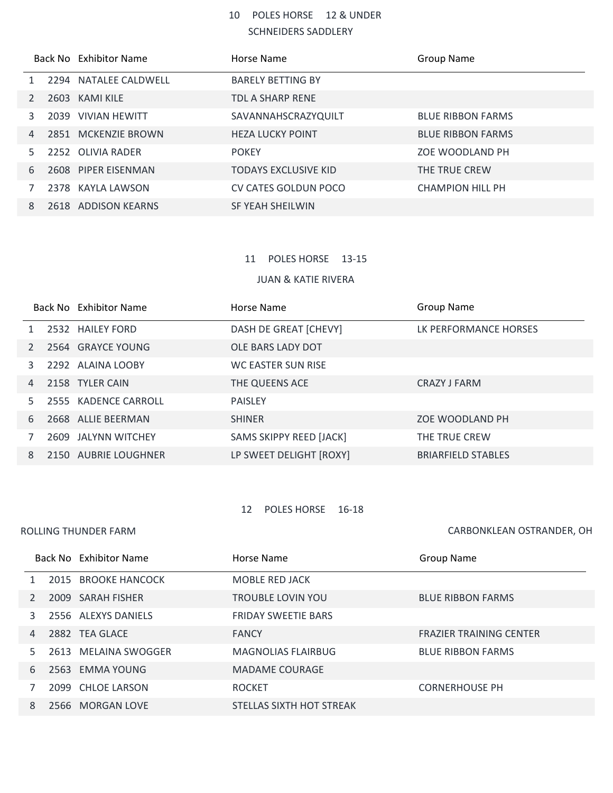# POLES HORSE 12 & UNDER SCHNEIDERS SADDLERY

|              |      | Back No Exhibitor Name | Horse Name                  | <b>Group Name</b>        |
|--------------|------|------------------------|-----------------------------|--------------------------|
| $\mathbf{1}$ |      | 2294 NATALEE CALDWELL  | <b>BARELY BETTING BY</b>    |                          |
| 2            | 2603 | KAMI KILE              | TDL A SHARP RENE            |                          |
| 3            |      | 2039 VIVIAN HEWITT     | SAVANNAHSCRAZYQUILT         | <b>BLUE RIBBON FARMS</b> |
| 4            |      | 2851 MCKENZIE BROWN    | <b>HEZA LUCKY POINT</b>     | <b>BLUE RIBBON FARMS</b> |
| 5.           |      | 2252 OLIVIA RADER      | <b>POKEY</b>                | ZOE WOODLAND PH          |
| 6            |      | 2608 PIPER EISENMAN    | <b>TODAYS EXCLUSIVE KID</b> | THE TRUE CREW            |
|              |      | 2378 KAYLA LAWSON      | CV CATES GOLDUN POCO        | <b>CHAMPION HILL PH</b>  |
| 8            |      | 2618 ADDISON KEARNS    | SF YEAH SHEILWIN            |                          |

# 11 POLES HORSE 13-15

#### JUAN & KATIE RIVERA

|                | Back No Exhibitor Name | Horse Name              | <b>Group Name</b>         |
|----------------|------------------------|-------------------------|---------------------------|
|                | 2532 HAILEY FORD       | DASH DE GREAT [CHEVY]   | LK PERFORMANCE HORSES     |
|                | 2564 GRAYCE YOUNG      | OLE BARS LADY DOT       |                           |
| 3              | 2292 ALAINA LOOBY      | WC EASTER SUN RISE      |                           |
| $\overline{4}$ | 2158 TYLER CAIN        | THE QUEENS ACE          | CRAZY J FARM              |
| 5.             | 2555 KADENCE CARROLL   | <b>PAISLEY</b>          |                           |
| 6              | 2668 ALLIE BEERMAN     | <b>SHINER</b>           | ZOE WOODLAND PH           |
|                | 2609 JALYNN WITCHEY    | SAMS SKIPPY REED [JACK] | THE TRUE CREW             |
| 8              | 2150 AUBRIE LOUGHNER   | LP SWEET DELIGHT [ROXY] | <b>BRIARFIELD STABLES</b> |

## POLES HORSE 16-18

ROLLING THUNDER FARM

CARBONKLEAN, OSTRANDER, OH

|    | Back No Exhibitor Name | Horse Name                 | <b>Group Name</b>              |
|----|------------------------|----------------------------|--------------------------------|
|    | 2015 BROOKE HANCOCK    | <b>MOBLE RED JACK</b>      |                                |
|    | 2009 SARAH FISHER      | <b>TROUBLE LOVIN YOU</b>   | <b>BLUE RIBBON FARMS</b>       |
| 3. | 2556 ALEXYS DANIELS    | <b>FRIDAY SWEETIE BARS</b> |                                |
| 4  | 2882 TEA GLACE         | <b>FANCY</b>               | <b>FRAZIER TRAINING CENTER</b> |
| 5. | 2613 MELAINA SWOGGER   | <b>MAGNOLIAS FLAIRBUG</b>  | <b>BLUE RIBBON FARMS</b>       |
| 6  | 2563 EMMA YOUNG        | <b>MADAME COURAGE</b>      |                                |
|    | 2099 CHLOF LARSON      | <b>ROCKET</b>              | <b>CORNERHOUSE PH</b>          |
| 8  | 2566 MORGAN LOVE       | STELLAS SIXTH HOT STREAK   |                                |